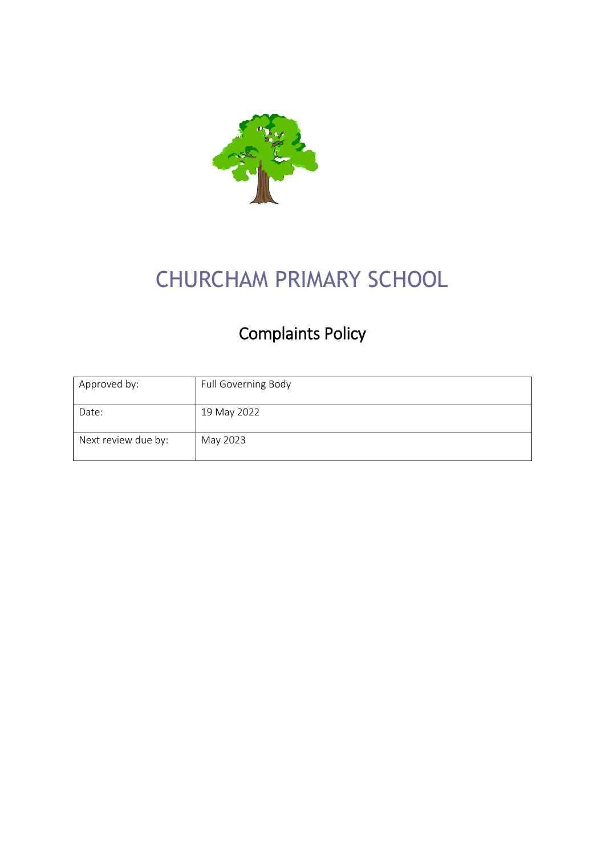

# CHURCHAM PRIMARY SCHOOL

## Complaints Policy

| Approved by:        | Full Governing Body |
|---------------------|---------------------|
| Date:               | 19 May 2022         |
| Next review due by: | May 2023            |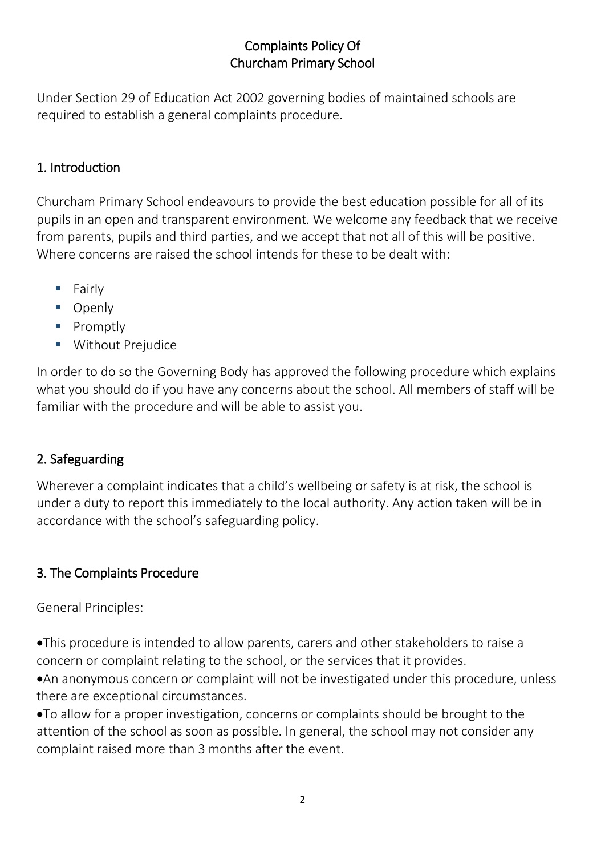#### Complaints Policy Of Churcham Primary School

Under Section 29 of Education Act 2002 governing bodies of maintained schools are required to establish a general complaints procedure.

#### 1. Introduction

Churcham Primary School endeavours to provide the best education possible for all of its pupils in an open and transparent environment. We welcome any feedback that we receive from parents, pupils and third parties, and we accept that not all of this will be positive. Where concerns are raised the school intends for these to be dealt with:

- Fairly
- Openly
- Promptly
- **■** Without Prejudice

In order to do so the Governing Body has approved the following procedure which explains what you should do if you have any concerns about the school. All members of staff will be familiar with the procedure and will be able to assist you.

#### 2. Safeguarding

Wherever a complaint indicates that a child's wellbeing or safety is at risk, the school is under a duty to report this immediately to the local authority. Any action taken will be in accordance with the school's safeguarding policy.

#### 3. The Complaints Procedure

General Principles:

•This procedure is intended to allow parents, carers and other stakeholders to raise a concern or complaint relating to the school, or the services that it provides.

•An anonymous concern or complaint will not be investigated under this procedure, unless there are exceptional circumstances.

•To allow for a proper investigation, concerns or complaints should be brought to the attention of the school as soon as possible. In general, the school may not consider any complaint raised more than 3 months after the event.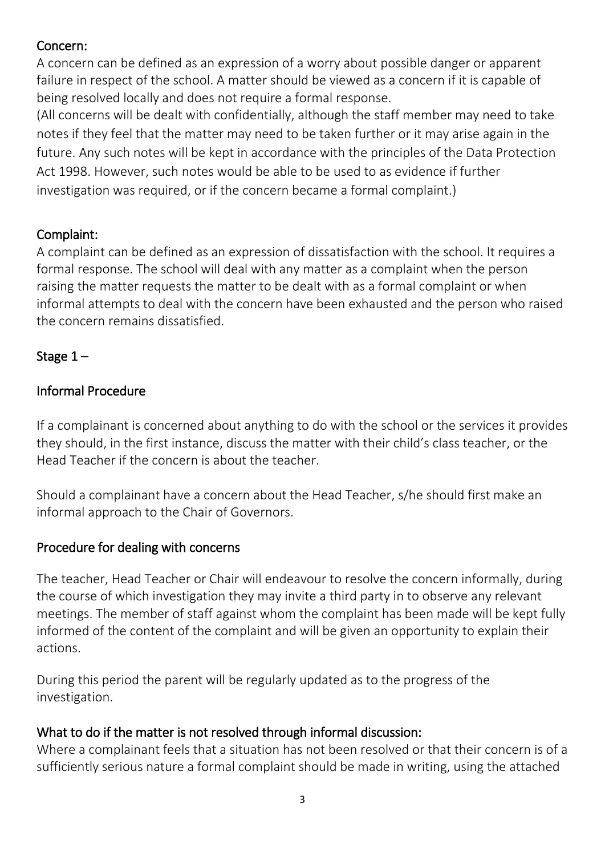#### Concern:

A concern can be defined as an expression of a worry about possible danger or apparent failure in respect of the school. A matter should be viewed as a concern if it is capable of being resolved locally and does not require a formal response.

(All concerns will be dealt with confidentially, although the staff member may need to take notes if they feel that the matter may need to be taken further or it may arise again in the future. Any such notes will be kept in accordance with the principles of the Data Protection Act 1998. However, such notes would be able to be used to as evidence if further investigation was required, or if the concern became a formal complaint.)

#### Complaint:

A complaint can be defined as an expression of dissatisfaction with the school. It requires a formal response. The school will deal with any matter as a complaint when the person raising the matter requests the matter to be dealt with as a formal complaint or when informal attempts to deal with the concern have been exhausted and the person who raised the concern remains dissatisfied.

#### Stage  $1 -$

#### Informal Procedure

If a complainant is concerned about anything to do with the school or the services it provides they should, in the first instance, discuss the matter with their child's class teacher, or the Head Teacher if the concern is about the teacher.

Should a complainant have a concern about the Head Teacher, s/he should first make an informal approach to the Chair of Governors.

#### Procedure for dealing with concerns

The teacher, Head Teacher or Chair will endeavour to resolve the concern informally, during the course of which investigation they may invite a third party in to observe any relevant meetings. The member of staff against whom the complaint has been made will be kept fully informed of the content of the complaint and will be given an opportunity to explain their actions.

During this period the parent will be regularly updated as to the progress of the investigation.

#### What to do if the matter is not resolved through informal discussion:

Where a complainant feels that a situation has not been resolved or that their concern is of a sufficiently serious nature a formal complaint should be made in writing, using the attached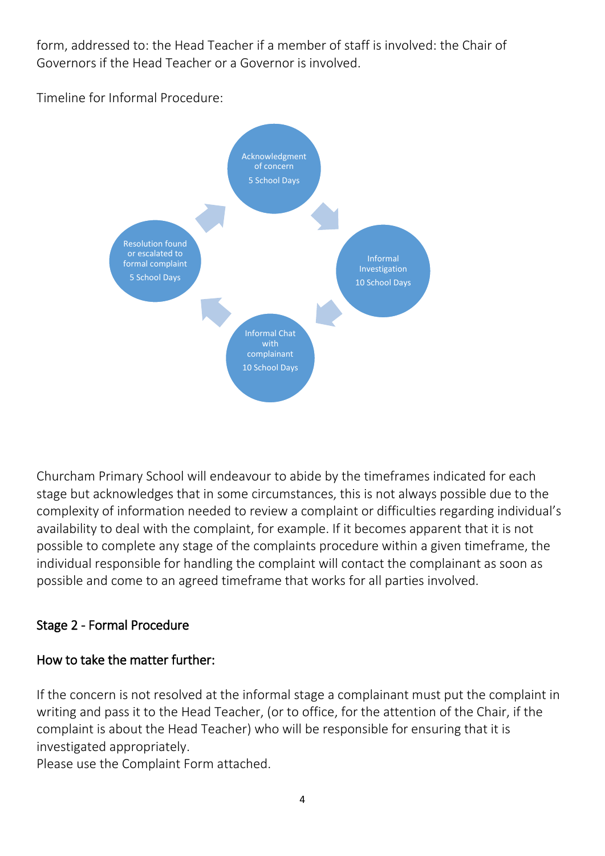form, addressed to: the Head Teacher if a member of staff is involved: the Chair of Governors if the Head Teacher or a Governor is involved.

Timeline for Informal Procedure:



Churcham Primary School will endeavour to abide by the timeframes indicated for each stage but acknowledges that in some circumstances, this is not always possible due to the complexity of information needed to review a complaint or difficulties regarding individual's availability to deal with the complaint, for example. If it becomes apparent that it is not possible to complete any stage of the complaints procedure within a given timeframe, the individual responsible for handling the complaint will contact the complainant as soon as possible and come to an agreed timeframe that works for all parties involved.

### Stage 2 - Formal Procedure

#### How to take the matter further:

If the concern is not resolved at the informal stage a complainant must put the complaint in writing and pass it to the Head Teacher, (or to office, for the attention of the Chair, if the complaint is about the Head Teacher) who will be responsible for ensuring that it is investigated appropriately.

Please use the Complaint Form attached.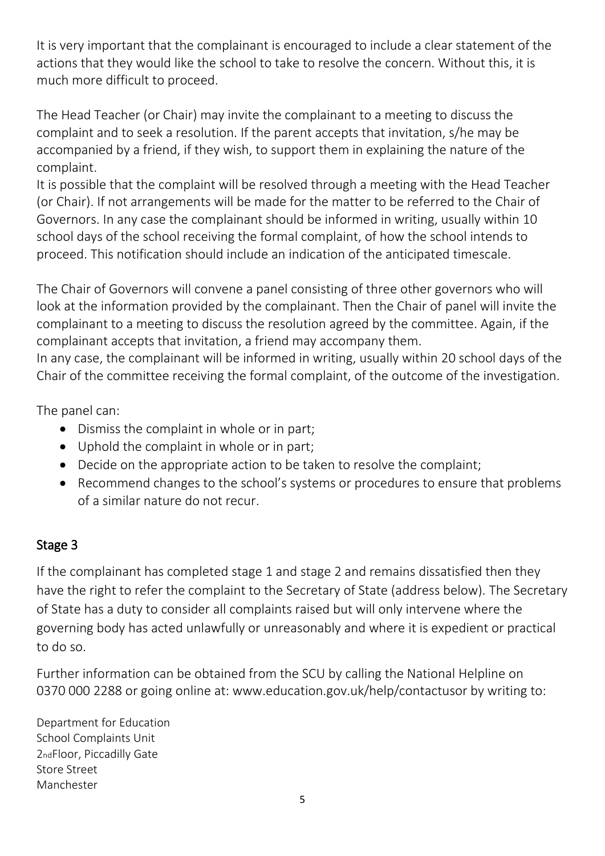It is very important that the complainant is encouraged to include a clear statement of the actions that they would like the school to take to resolve the concern. Without this, it is much more difficult to proceed.

The Head Teacher (or Chair) may invite the complainant to a meeting to discuss the complaint and to seek a resolution. If the parent accepts that invitation, s/he may be accompanied by a friend, if they wish, to support them in explaining the nature of the complaint.

It is possible that the complaint will be resolved through a meeting with the Head Teacher (or Chair). If not arrangements will be made for the matter to be referred to the Chair of Governors. In any case the complainant should be informed in writing, usually within 10 school days of the school receiving the formal complaint, of how the school intends to proceed. This notification should include an indication of the anticipated timescale.

The Chair of Governors will convene a panel consisting of three other governors who will look at the information provided by the complainant. Then the Chair of panel will invite the complainant to a meeting to discuss the resolution agreed by the committee. Again, if the complainant accepts that invitation, a friend may accompany them.

In any case, the complainant will be informed in writing, usually within 20 school days of the Chair of the committee receiving the formal complaint, of the outcome of the investigation.

The panel can:

- Dismiss the complaint in whole or in part;
- Uphold the complaint in whole or in part;
- Decide on the appropriate action to be taken to resolve the complaint;
- Recommend changes to the school's systems or procedures to ensure that problems of a similar nature do not recur.

### Stage 3

If the complainant has completed stage 1 and stage 2 and remains dissatisfied then they have the right to refer the complaint to the Secretary of State (address below). The Secretary of State has a duty to consider all complaints raised but will only intervene where the governing body has acted unlawfully or unreasonably and where it is expedient or practical to do so.

Further information can be obtained from the SCU by calling the National Helpline on 0370 000 2288 or going online at: www.education.gov.uk/help/contactusor by writing to:

Department for Education School Complaints Unit 2ndFloor, Piccadilly Gate Store Street Manchester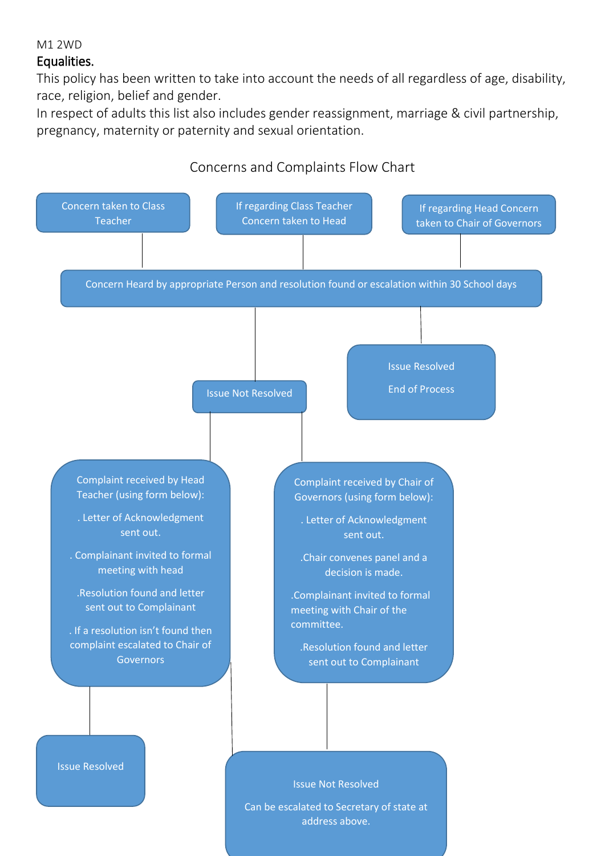#### Equalities.

This policy has been written to take into account the needs of all regardless of age, disability, race, religion, belief and gender.

In respect of adults this list also includes gender reassignment, marriage & civil partnership, pregnancy, maternity or paternity and sexual orientation.

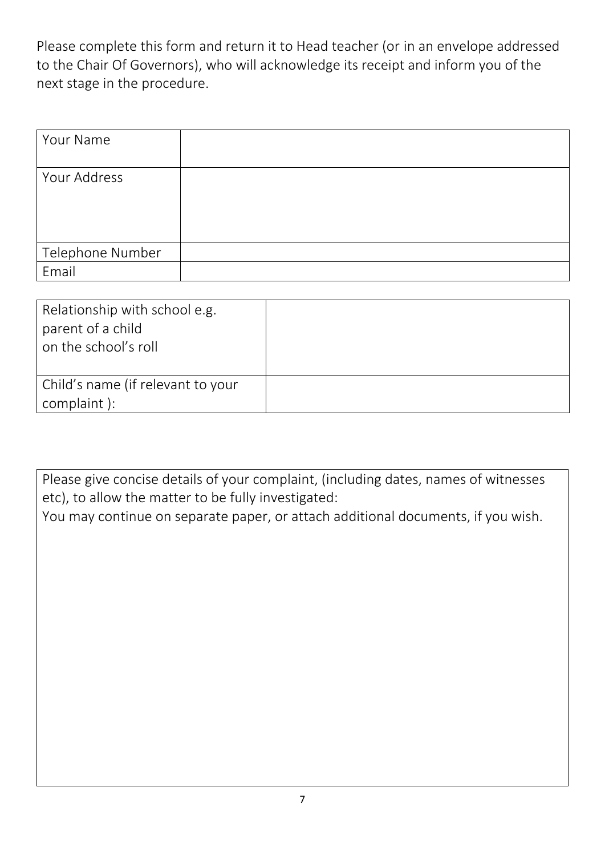Please complete this form and return it to Head teacher (or in an envelope addressed to the Chair Of Governors), who will acknowledge its receipt and inform you of the next stage in the procedure.

| Your Name        |  |
|------------------|--|
| Your Address     |  |
| Telephone Number |  |
| Email            |  |

| Relationship with school e.g.<br>parent of a child<br>on the school's roll |  |
|----------------------------------------------------------------------------|--|
| Child's name (if relevant to your<br>complaint):                           |  |

Please give concise details of your complaint, (including dates, names of witnesses etc), to allow the matter to be fully investigated:

You may continue on separate paper, or attach additional documents, if you wish.